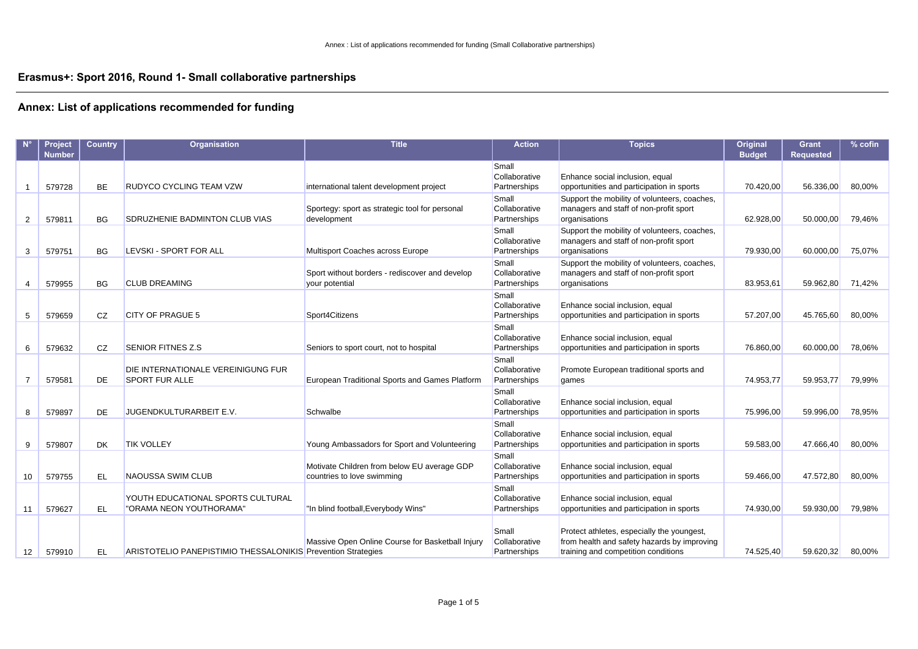### **Erasmus+: Sport 2016, Round 1- Small collaborative partnerships**

|                | Project<br><b>Number</b> | <b>Country</b> | <b>Organisation</b>                                          | <b>Title</b>                                                              | <b>Action</b>                          | <b>Topics</b>                                                                                                                    | Original<br><b>Budget</b> | <b>Grant</b><br><b>Requested</b> | % cofin |
|----------------|--------------------------|----------------|--------------------------------------------------------------|---------------------------------------------------------------------------|----------------------------------------|----------------------------------------------------------------------------------------------------------------------------------|---------------------------|----------------------------------|---------|
|                | 579728                   | <b>BE</b>      | <b>RUDYCO CYCLING TEAM VZW</b>                               | international talent development project                                  | Small<br>Collaborative<br>Partnerships | Enhance social inclusion, equal<br>opportunities and participation in sports                                                     | 70.420,00                 | 56.336,00                        | 80,00%  |
| 2              | 579811                   | BG             | SDRUZHENIE BADMINTON CLUB VIAS                               | Sportegy: sport as strategic tool for personal<br>development             | Small<br>Collaborative<br>Partnerships | Support the mobility of volunteers, coaches,<br>managers and staff of non-profit sport<br>organisations                          | 62.928,00                 | 50.000,00                        | 79,46%  |
| 3              | 579751                   | <b>BG</b>      | LEVSKI - SPORT FOR ALL                                       | Multisport Coaches across Europe                                          | Small<br>Collaborative<br>Partnerships | Support the mobility of volunteers, coaches,<br>managers and staff of non-profit sport<br>organisations                          | 79.930,00                 | 60.000,00                        | 75,07%  |
| 4              | 579955                   | <b>BG</b>      | <b>CLUB DREAMING</b>                                         | Sport without borders - rediscover and develop<br>your potential          | Small<br>Collaborative<br>Partnerships | Support the mobility of volunteers, coaches,<br>managers and staff of non-profit sport<br>organisations                          | 83.953,61                 | 59.962,80                        | 71,42%  |
| 5              | 579659                   | CZ             | <b>CITY OF PRAGUE 5</b>                                      | Sport4Citizens                                                            | Small<br>Collaborative<br>Partnerships | Enhance social inclusion, equal<br>opportunities and participation in sports                                                     | 57.207,00                 | 45.765,60                        | 80,00%  |
| 6              | 579632                   | CZ             | <b>SENIOR FITNES Z.S</b>                                     | Seniors to sport court, not to hospital                                   | Small<br>Collaborative<br>Partnerships | Enhance social inclusion, equal<br>opportunities and participation in sports                                                     | 76.860,00                 | 60.000,00                        | 78,06%  |
| $\overline{7}$ | 579581                   | DE             | DIE INTERNATIONALE VEREINIGUNG FUR<br><b>SPORT FUR ALLE</b>  | European Traditional Sports and Games Platform                            | Small<br>Collaborative<br>Partnerships | Promote European traditional sports and<br>games                                                                                 | 74.953,77                 | 59.953,77                        | 79,99%  |
| 8              | 579897                   | DE             | JUGENDKULTURARBEIT E.V.                                      | Schwalbe                                                                  | Small<br>Collaborative<br>Partnerships | Enhance social inclusion, equal<br>opportunities and participation in sports                                                     | 75.996,00                 | 59.996,00                        | 78,95%  |
| 9              | 579807                   | <b>DK</b>      | <b>TIK VOLLEY</b>                                            | Young Ambassadors for Sport and Volunteering                              | Small<br>Collaborative<br>Partnerships | Enhance social inclusion, equal<br>opportunities and participation in sports                                                     | 59.583,00                 | 47.666,40                        | 80,00%  |
| 10             | 579755                   | EL             | NAOUSSA SWIM CLUB                                            | Motivate Children from below EU average GDP<br>countries to love swimming | Small<br>Collaborative<br>Partnerships | Enhance social inclusion, equal<br>opportunities and participation in sports                                                     | 59.466,00                 | 47.572,80                        | 80,00%  |
| 11             | 579627                   | EL             | YOUTH EDUCATIONAL SPORTS CULTURAL<br>"ORAMA NEON YOUTHORAMA" | "In blind football, Everybody Wins"                                       | Small<br>Collaborative<br>Partnerships | Enhance social inclusion, equal<br>opportunities and participation in sports                                                     | 74.930,00                 | 59.930,00                        | 79,98%  |
| 12             | 579910                   | EL             | ARISTOTELIO PANEPISTIMIO THESSALONIKIS Prevention Strategies | Massive Open Online Course for Basketball Injury                          | Small<br>Collaborative<br>Partnerships | Protect athletes, especially the youngest,<br>from health and safety hazards by improving<br>training and competition conditions | 74.525,40                 | 59.620,32                        | 80,00%  |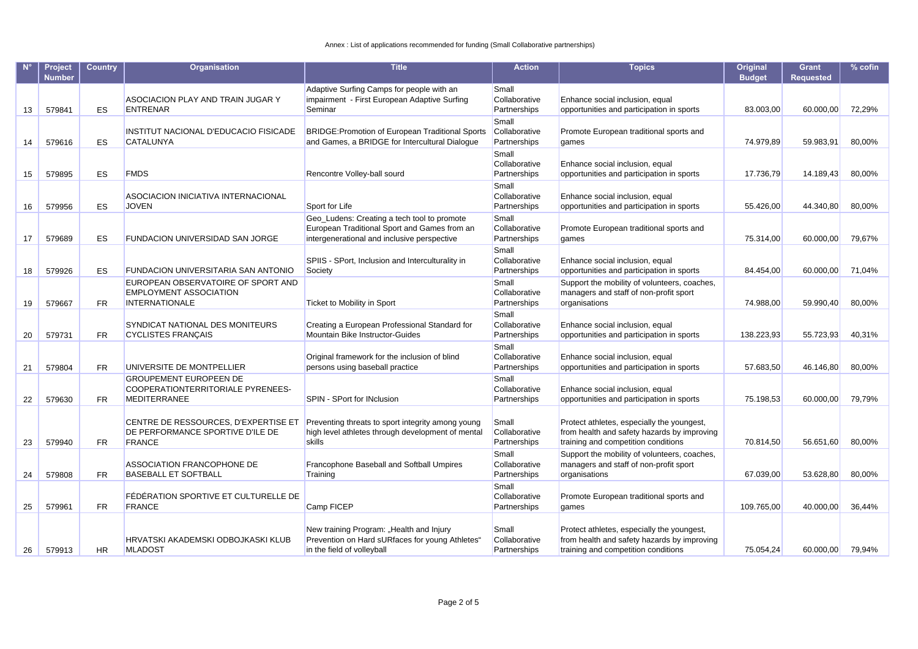|    | <b>Project</b><br><b>Number</b> | <b>Country</b> | Organisation                                                                                 | <b>Title</b>                                                                                                                               | <b>Action</b>                          | <b>Topics</b>                                                                                                                    | Original<br><b>Budget</b> | <b>Grant</b><br><b>Requested</b> | $%$ cofin |
|----|---------------------------------|----------------|----------------------------------------------------------------------------------------------|--------------------------------------------------------------------------------------------------------------------------------------------|----------------------------------------|----------------------------------------------------------------------------------------------------------------------------------|---------------------------|----------------------------------|-----------|
| 13 | 579841                          | ES             | ASOCIACION PLAY AND TRAIN JUGAR Y<br><b>ENTRENAR</b>                                         | Adaptive Surfing Camps for people with an<br>impairment - First European Adaptive Surfing<br>Seminar                                       | Small<br>Collaborative<br>Partnerships | Enhance social inclusion, equal<br>opportunities and participation in sports                                                     | 83.003,00                 | 60.000,00                        | 72,29%    |
| 14 | 579616                          | ES             | INSTITUT NACIONAL D'EDUCACIO FISICADE<br><b>CATALUNYA</b>                                    | BRIDGE: Promotion of European Traditional Sports<br>and Games, a BRIDGE for Intercultural Dialoque                                         | Small<br>Collaborative<br>Partnerships | Promote European traditional sports and<br>qames                                                                                 | 74.979,89                 | 59.983,91                        | 80,00%    |
| 15 | 579895                          | ES             | <b>FMDS</b>                                                                                  | Rencontre Volley-ball sourd                                                                                                                | Small<br>Collaborative<br>Partnerships | Enhance social inclusion, equal<br>opportunities and participation in sports                                                     | 17.736,79                 | 14.189,43                        | 80,00%    |
| 16 | 579956                          | ES             | ASOCIACION INICIATIVA INTERNACIONAL<br>JOVEN                                                 | Sport for Life                                                                                                                             | Small<br>Collaborative<br>Partnerships | Enhance social inclusion, equal<br>opportunities and participation in sports                                                     | 55.426,00                 | 44.340,80                        | 80,00%    |
| 17 | 579689                          | ES             | FUNDACION UNIVERSIDAD SAN JORGE                                                              | Geo_Ludens: Creating a tech tool to promote<br>European Traditional Sport and Games from an<br>intergenerational and inclusive perspective | Small<br>Collaborative<br>Partnerships | Promote European traditional sports and<br>games                                                                                 | 75.314,00                 | 60.000,00                        | 79,67%    |
| 18 | 579926                          | ES             | FUNDACION UNIVERSITARIA SAN ANTONIO                                                          | SPIIS - SPort, Inclusion and Interculturality in<br>Society                                                                                | Small<br>Collaborative<br>Partnerships | Enhance social inclusion, equal<br>opportunities and participation in sports                                                     | 84.454,00                 | 60.000,00                        | 71,04%    |
| 19 | 579667                          | <b>FR</b>      | EUROPEAN OBSERVATOIRE OF SPORT AND<br><b>EMPLOYMENT ASSOCIATION</b><br><b>INTERNATIONALE</b> | Ticket to Mobility in Sport                                                                                                                | Small<br>Collaborative<br>Partnerships | Support the mobility of volunteers, coaches,<br>managers and staff of non-profit sport<br>organisations                          | 74.988,00                 | 59.990,40                        | 80,00%    |
| 20 | 579731                          | FR             | SYNDICAT NATIONAL DES MONITEURS<br><b>CYCLISTES FRANÇAIS</b>                                 | Creating a European Professional Standard for<br>Mountain Bike Instructor-Guides                                                           | Small<br>Collaborative<br>Partnerships | Enhance social inclusion, equal<br>opportunities and participation in sports                                                     | 138.223,93                | 55.723,93                        | 40,31%    |
| 21 | 579804                          | <b>FR</b>      | UNIVERSITE DE MONTPELLIER                                                                    | Original framework for the inclusion of blind<br>persons using baseball practice                                                           | Small<br>Collaborative<br>Partnerships | Enhance social inclusion, equal<br>opportunities and participation in sports                                                     | 57.683,50                 | 46.146,80                        | 80,00%    |
| 22 | 579630                          | <b>FR</b>      | <b>GROUPEMENT EUROPEEN DE</b><br>COOPERATIONTERRITORIALE PYRENEES-<br><b>MEDITERRANEE</b>    | SPIN - SPort for INclusion                                                                                                                 | Small<br>Collaborative<br>Partnerships | Enhance social inclusion, equal<br>opportunities and participation in sports                                                     | 75.198,53                 | 60.000,00                        | 79,79%    |
| 23 | 579940                          | <b>FR</b>      | CENTRE DE RESSOURCES, D'EXPERTISE ET<br>DE PERFORMANCE SPORTIVE D'ILE DE<br><b>FRANCE</b>    | Preventing threats to sport integrity among young<br>high level athletes through development of mental<br>skills                           | Small<br>Collaborative<br>Partnerships | Protect athletes, especially the youngest,<br>from health and safety hazards by improving<br>training and competition conditions | 70.814,50                 | 56.651,60                        | 80,00%    |
| 24 | 579808                          | <b>FR</b>      | ASSOCIATION FRANCOPHONE DE<br><b>BASEBALL ET SOFTBALL</b>                                    | Francophone Baseball and Softball Umpires<br>Training                                                                                      | Small<br>Collaborative<br>Partnerships | Support the mobility of volunteers, coaches,<br>managers and staff of non-profit sport<br>organisations                          | 67.039,00                 | 53.628,80                        | 80,00%    |
| 25 | 579961                          | <b>FR</b>      | FÉDÉRATION SPORTIVE ET CULTURELLE DE<br><b>FRANCE</b>                                        | Camp FICEP                                                                                                                                 | Small<br>Collaborative<br>Partnerships | Promote European traditional sports and<br>games                                                                                 | 109.765,00                | 40.000,00                        | 36,44%    |
| 26 | 579913                          | <b>HR</b>      | HRVATSKI AKADEMSKI ODBOJKASKI KLUB<br><b>MLADOST</b>                                         | New training Program: "Health and Injury<br>Prevention on Hard sURfaces for young Athletes"<br>in the field of volleyball                  | Small<br>Collaborative<br>Partnerships | Protect athletes, especially the youngest,<br>from health and safety hazards by improving<br>training and competition conditions | 75.054,24                 | 60.000,00                        | 79.94%    |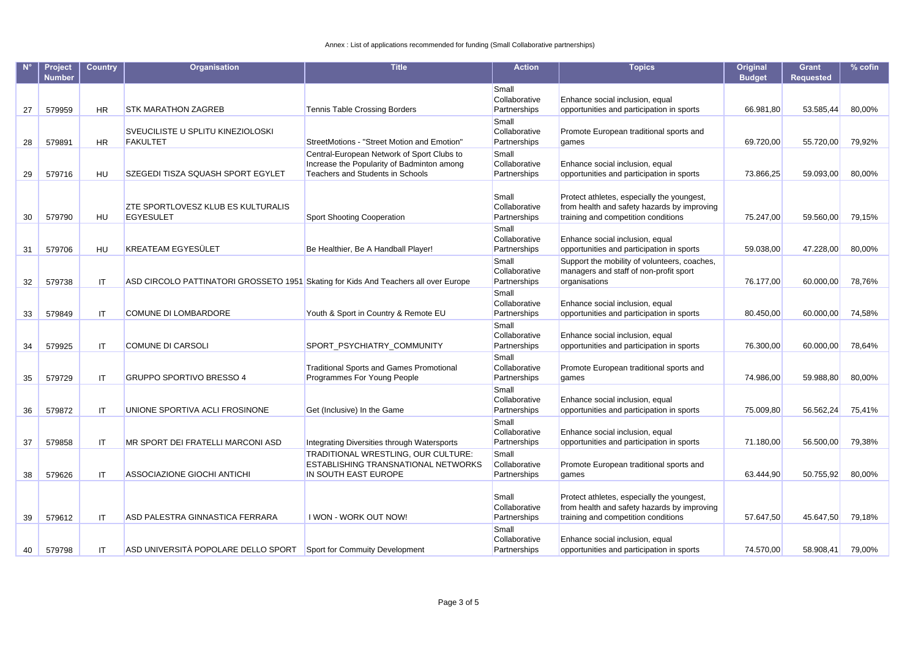|    | <b>Project</b><br><b>Number</b> | <b>Country</b> | Organisation                                                                        | <b>Title</b>                                                                                                                 | <b>Action</b>                          | <b>Topics</b>                                                                                                                    | Original<br><b>Budget</b> | <b>Grant</b><br><b>Requested</b> | $%$ cofin |
|----|---------------------------------|----------------|-------------------------------------------------------------------------------------|------------------------------------------------------------------------------------------------------------------------------|----------------------------------------|----------------------------------------------------------------------------------------------------------------------------------|---------------------------|----------------------------------|-----------|
| 27 | 579959                          | <b>HR</b>      | <b>STK MARATHON ZAGREB</b>                                                          | <b>Tennis Table Crossing Borders</b>                                                                                         | Small<br>Collaborative<br>Partnerships | Enhance social inclusion, equal<br>opportunities and participation in sports                                                     | 66.981,80                 | 53.585,44                        | 80,00%    |
| 28 | 579891                          | HR             | SVEUCILISTE U SPLITU KINEZIOLOSKI<br><b>FAKULTET</b>                                | StreetMotions - "Street Motion and Emotion"                                                                                  | Small<br>Collaborative<br>Partnerships | Promote European traditional sports and<br>games                                                                                 | 69.720,00                 | 55.720,00                        | 79,92%    |
| 29 | 579716                          | <b>HU</b>      | SZEGEDI TISZA SQUASH SPORT EGYLET                                                   | Central-European Network of Sport Clubs to<br>Increase the Popularity of Badminton among<br>Teachers and Students in Schools | Small<br>Collaborative<br>Partnerships | Enhance social inclusion, equal<br>opportunities and participation in sports                                                     | 73.866,25                 | 59.093,00                        | 80,00%    |
| 30 | 579790                          | HU             | ZTE SPORTLOVESZ KLUB ES KULTURALIS<br><b>EGYESULET</b>                              | <b>Sport Shooting Cooperation</b>                                                                                            | Small<br>Collaborative<br>Partnerships | Protect athletes, especially the youngest,<br>from health and safety hazards by improving<br>training and competition conditions | 75.247,00                 | 59.560,00                        | 79,15%    |
| 31 | 579706                          | <b>HU</b>      | KREATEAM EGYESÜLET                                                                  | Be Healthier, Be A Handball Player!                                                                                          | Small<br>Collaborative<br>Partnerships | Enhance social inclusion, equal<br>opportunities and participation in sports                                                     | 59.038,00                 | 47.228,00                        | 80,00%    |
| 32 | 579738                          | IT             | ASD CIRCOLO PATTINATORI GROSSETO 1951 Skating for Kids And Teachers all over Europe |                                                                                                                              | Small<br>Collaborative<br>Partnerships | Support the mobility of volunteers, coaches,<br>managers and staff of non-profit sport<br>organisations                          | 76.177,00                 | 60.000,00                        | 78,76%    |
| 33 | 579849                          | IT             | COMUNE DI LOMBARDORE                                                                | Youth & Sport in Country & Remote EU                                                                                         | Small<br>Collaborative<br>Partnerships | Enhance social inclusion, equal<br>opportunities and participation in sports                                                     | 80.450,00                 | 60.000,00                        | 74,58%    |
| 34 | 579925                          | IT             | <b>COMUNE DI CARSOLI</b>                                                            | SPORT_PSYCHIATRY_COMMUNITY                                                                                                   | Small<br>Collaborative<br>Partnerships | Enhance social inclusion, equal<br>opportunities and participation in sports                                                     | 76.300,00                 | 60.000,00                        | 78,64%    |
| 35 | 579729                          | IT             | <b>GRUPPO SPORTIVO BRESSO 4</b>                                                     | <b>Traditional Sports and Games Promotional</b><br>Programmes For Young People                                               | Small<br>Collaborative<br>Partnerships | Promote European traditional sports and<br>games                                                                                 | 74.986,00                 | 59.988,80                        | 80,00%    |
| 36 | 579872                          | IT             | UNIONE SPORTIVA ACLI FROSINONE                                                      | Get (Inclusive) In the Game                                                                                                  | Small<br>Collaborative<br>Partnerships | Enhance social inclusion, equal<br>opportunities and participation in sports                                                     | 75.009,80                 | 56.562,24                        | 75,41%    |
| 37 | 579858                          | IT             | MR SPORT DEI FRATELLI MARCONI ASD                                                   | Integrating Diversities through Watersports                                                                                  | Small<br>Collaborative<br>Partnerships | Enhance social inclusion, equal<br>opportunities and participation in sports                                                     | 71.180,00                 | 56.500,00                        | 79,38%    |
| 38 | 579626                          | IT             | ASSOCIAZIONE GIOCHI ANTICHI                                                         | TRADITIONAL WRESTLING, OUR CULTURE:<br>ESTABLISHING TRANSNATIONAL NETWORKS<br>IN SOUTH EAST EUROPE                           | Small<br>Collaborative<br>Partnerships | Promote European traditional sports and<br>games                                                                                 | 63.444,90                 | 50.755,92                        | 80,00%    |
| 39 | 579612                          | IT             | ASD PALESTRA GINNASTICA FERRARA                                                     | I WON - WORK OUT NOW!                                                                                                        | Small<br>Collaborative<br>Partnerships | Protect athletes, especially the youngest,<br>from health and safety hazards by improving<br>training and competition conditions | 57.647,50                 | 45.647,50                        | 79,18%    |
| 40 | 579798                          | <b>IT</b>      | ASD UNIVERSITÀ POPOLARE DELLO SPORT Sport for Commuity Development                  |                                                                                                                              | Small<br>Collaborative<br>Partnerships | Enhance social inclusion, equal<br>opportunities and participation in sports                                                     | 74.570.00                 | 58.908.41                        | 79.00%    |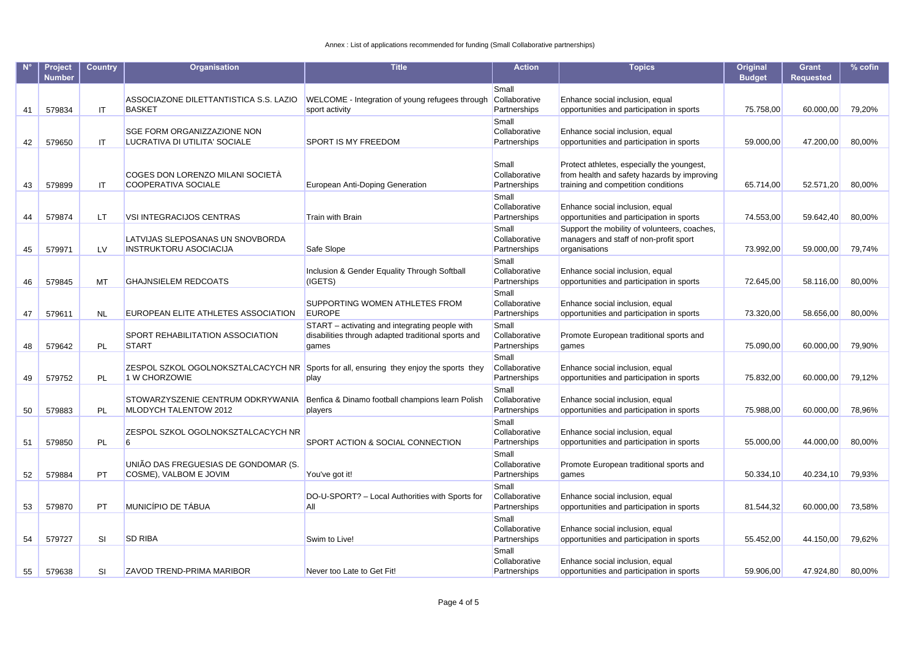|    | Project<br><b>Number</b> | <b>Country</b> | Organisation                                                      | <b>Title</b>                                                                                                   | <b>Action</b>                          | <b>Topics</b>                                                                                                                    | Original<br><b>Budget</b> | <b>Grant</b><br><b>Requested</b> | $%$ cofin |
|----|--------------------------|----------------|-------------------------------------------------------------------|----------------------------------------------------------------------------------------------------------------|----------------------------------------|----------------------------------------------------------------------------------------------------------------------------------|---------------------------|----------------------------------|-----------|
| 41 | 579834                   | IT             | ASSOCIAZONE DILETTANTISTICA S.S. LAZIO<br><b>BASKET</b>           | WELCOME - Integration of young refugees through<br>sport activity                                              | Small<br>Collaborative<br>Partnerships | Enhance social inclusion, equal<br>opportunities and participation in sports                                                     | 75.758,00                 | 60.000,00                        | 79,20%    |
| 42 | 579650                   | <b>IT</b>      | SGE FORM ORGANIZZAZIONE NON<br>LUCRATIVA DI UTILITA' SOCIALE      | SPORT IS MY FREEDOM                                                                                            | Small<br>Collaborative<br>Partnerships | Enhance social inclusion, equal<br>opportunities and participation in sports                                                     | 59.000,00                 | 47.200,00                        | 80,00%    |
| 43 | 579899                   | IT             | COGES DON LORENZO MILANI SOCIETA<br>COOPERATIVA SOCIALE           | European Anti-Doping Generation                                                                                | Small<br>Collaborative<br>Partnerships | Protect athletes, especially the youngest,<br>from health and safety hazards by improving<br>training and competition conditions | 65.714,00                 | 52.571,20                        | 80,00%    |
| 44 | 579874                   | LT.            | <b>VSI INTEGRACIJOS CENTRAS</b>                                   | <b>Train with Brain</b>                                                                                        | Small<br>Collaborative<br>Partnerships | Enhance social inclusion, equal<br>opportunities and participation in sports                                                     | 74.553,00                 | 59.642,40                        | 80,00%    |
| 45 | 579971                   | <b>LV</b>      | LATVIJAS SLEPOSANAS UN SNOVBORDA<br><b>INSTRUKTORU ASOCIACIJA</b> | Safe Slope                                                                                                     | Small<br>Collaborative<br>Partnerships | Support the mobility of volunteers, coaches,<br>managers and staff of non-profit sport<br>organisations                          | 73.992,00                 | 59.000,00                        | 79,74%    |
| 46 | 579845                   | MT             | <b>GHAJNSIELEM REDCOATS</b>                                       | Inclusion & Gender Equality Through Softball<br>(IGETS)                                                        | Small<br>Collaborative<br>Partnerships | Enhance social inclusion, equal<br>opportunities and participation in sports                                                     | 72.645,00                 | 58.116,00                        | 80,00%    |
| 47 | 579611                   | <b>NL</b>      | EUROPEAN ELITE ATHLETES ASSOCIATION                               | SUPPORTING WOMEN ATHLETES FROM<br><b>EUROPE</b>                                                                | Small<br>Collaborative<br>Partnerships | Enhance social inclusion, equal<br>opportunities and participation in sports                                                     | 73.320,00                 | 58.656,00                        | 80,00%    |
| 48 | 579642                   | PL             | SPORT REHABILITATION ASSOCIATION<br><b>START</b>                  | START - activating and integrating people with<br>disabilities through adapted traditional sports and<br>games | Small<br>Collaborative<br>Partnerships | Promote European traditional sports and<br>games                                                                                 | 75.090,00                 | 60.000,00                        | 79,90%    |
| 49 | 579752                   | <b>PL</b>      | 1 W CHORZOWIE                                                     | ZESPOL SZKOL OGOLNOKSZTALCACYCH NR Sports for all, ensuring they enjoy the sports they<br>play                 | Small<br>Collaborative<br>Partnerships | Enhance social inclusion, equal<br>opportunities and participation in sports                                                     | 75.832,00                 | 60.000,00                        | 79,12%    |
| 50 | 579883                   | PL             | STOWARZYSZENIE CENTRUM ODKRYWANIA<br>MLODYCH TALENTOW 2012        | Benfica & Dinamo football champions learn Polish<br>players                                                    | Small<br>Collaborative<br>Partnerships | Enhance social inclusion, equal<br>opportunities and participation in sports                                                     | 75.988,00                 | 60.000,00                        | 78,96%    |
| 51 | 579850                   | PL             | ZESPOL SZKOL OGOLNOKSZTALCACYCH NR<br>6                           | SPORT ACTION & SOCIAL CONNECTION                                                                               | Small<br>Collaborative<br>Partnerships | Enhance social inclusion, equal<br>opportunities and participation in sports                                                     | 55.000,00                 | 44.000,00                        | 80,00%    |
| 52 | 579884                   | PT             | UNIÃO DAS FREGUESIAS DE GONDOMAR (S.<br>COSME), VALBOM E JOVIM    | You've got it!                                                                                                 | Small<br>Collaborative<br>Partnerships | Promote European traditional sports and<br>qames                                                                                 | 50.334,10                 | 40.234,10                        | 79,93%    |
| 53 | 579870                   | PT             | MUNICÍPIO DE TÁBUA                                                | DO-U-SPORT? - Local Authorities with Sports for<br>All                                                         | Small<br>Collaborative<br>Partnerships | Enhance social inclusion, equal<br>opportunities and participation in sports                                                     | 81.544,32                 | 60.000,00                        | 73,58%    |
| 54 | 579727                   | SI             | <b>SD RIBA</b>                                                    | Swim to Live!                                                                                                  | Small<br>Collaborative<br>Partnerships | Enhance social inclusion, equal<br>opportunities and participation in sports                                                     | 55.452,00                 | 44.150,00                        | 79,62%    |
| 55 | 579638                   | SI             | ZAVOD TREND-PRIMA MARIBOR                                         | Never too Late to Get Fit!                                                                                     | Small<br>Collaborative<br>Partnerships | Enhance social inclusion, equal<br>opportunities and participation in sports                                                     | 59.906.00                 | 47.924,80                        | 80.00%    |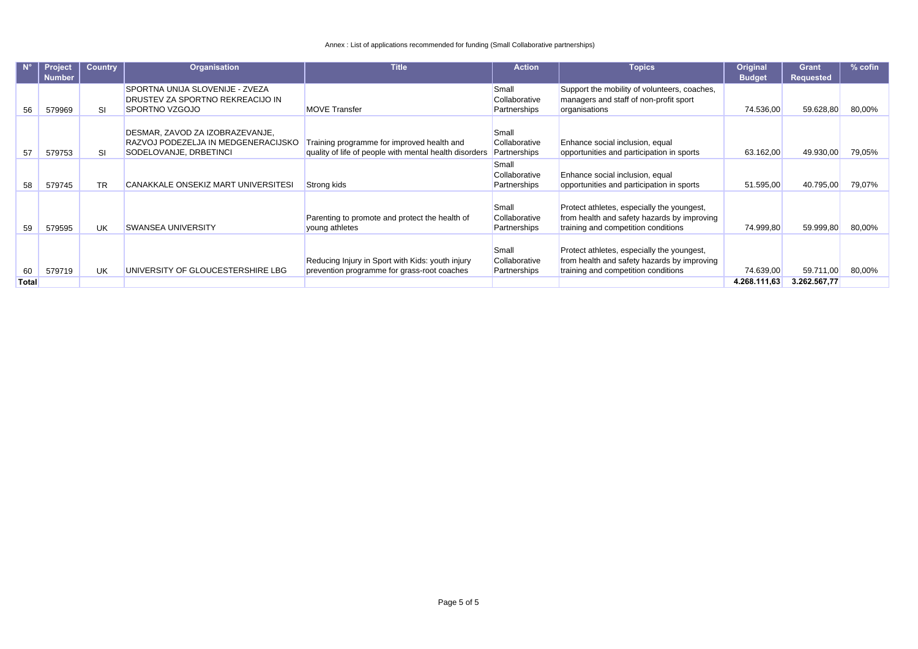|       | <b>Project</b> | <b>Country</b> | <b>Organisation</b>                 | <b>Title</b>                                           | <b>Action</b> | <b>Topics</b>                                | Original      | <b>Grant</b>     | % cofin |
|-------|----------------|----------------|-------------------------------------|--------------------------------------------------------|---------------|----------------------------------------------|---------------|------------------|---------|
|       | Number         |                |                                     |                                                        |               |                                              | <b>Budget</b> | <b>Requested</b> |         |
|       |                |                | SPORTNA UNIJA SLOVENIJE - ZVEZA     |                                                        | Small         | Support the mobility of volunteers, coaches, |               |                  |         |
|       |                |                | DRUSTEV ZA SPORTNO REKREACIJO IN    |                                                        | Collaborative | managers and staff of non-profit sport       |               |                  |         |
| 56    | 579969         | SI             | SPORTNO VZGOJO                      | <b>MOVE Transfer</b>                                   | Partnerships  | organisations                                | 74.536,00     | 59.628,80        | 80,00%  |
|       |                |                |                                     |                                                        |               |                                              |               |                  |         |
|       |                |                | DESMAR, ZAVOD ZA IZOBRAZEVANJE,     |                                                        | Small         |                                              |               |                  |         |
|       |                |                | RAZVOJ PODEZELJA IN MEDGENERACIJSKO | Training programme for improved health and             | Collaborative | Enhance social inclusion, equal              |               |                  |         |
| 57    | 579753         | SI             | SODELOVANJE, DRBETINCI              | quality of life of people with mental health disorders | Partnerships  | opportunities and participation in sports    | 63.162,00     | 49.930,00        | 79,05%  |
|       |                |                |                                     |                                                        | Small         |                                              |               |                  |         |
|       |                |                |                                     |                                                        | Collaborative | Enhance social inclusion, equal              |               |                  |         |
| 58    | 579745         | TR             | CANAKKALE ONSEKIZ MART UNIVERSITESI | Strong kids                                            | Partnerships  | opportunities and participation in sports    | 51.595,00     | 40.795,00        | 79,07%  |
|       |                |                |                                     |                                                        |               |                                              |               |                  |         |
|       |                |                |                                     |                                                        | Small         | Protect athletes, especially the youngest,   |               |                  |         |
|       |                |                |                                     | Parenting to promote and protect the health of         | Collaborative | from health and safety hazards by improving  |               |                  |         |
| 59    | 579595         | UK             | <b>SWANSEA UNIVERSITY</b>           | young athletes                                         | Partnerships  | training and competition conditions          | 74.999,80     | 59.999,80        | 80,00%  |
|       |                |                |                                     |                                                        |               |                                              |               |                  |         |
|       |                |                |                                     |                                                        | Small         | Protect athletes, especially the youngest,   |               |                  |         |
|       |                |                |                                     | Reducing Injury in Sport with Kids: youth injury       | Collaborative | from health and safety hazards by improving  |               |                  |         |
| 60    | 579719         | UK             | UNIVERSITY OF GLOUCESTERSHIRE LBG   | prevention programme for grass-root coaches            | Partnerships  | training and competition conditions          | 74.639,00     | 59.711,00        | 80,00%  |
| Total |                |                |                                     |                                                        |               |                                              | 4.268.111,63  | 3.262.567,77     |         |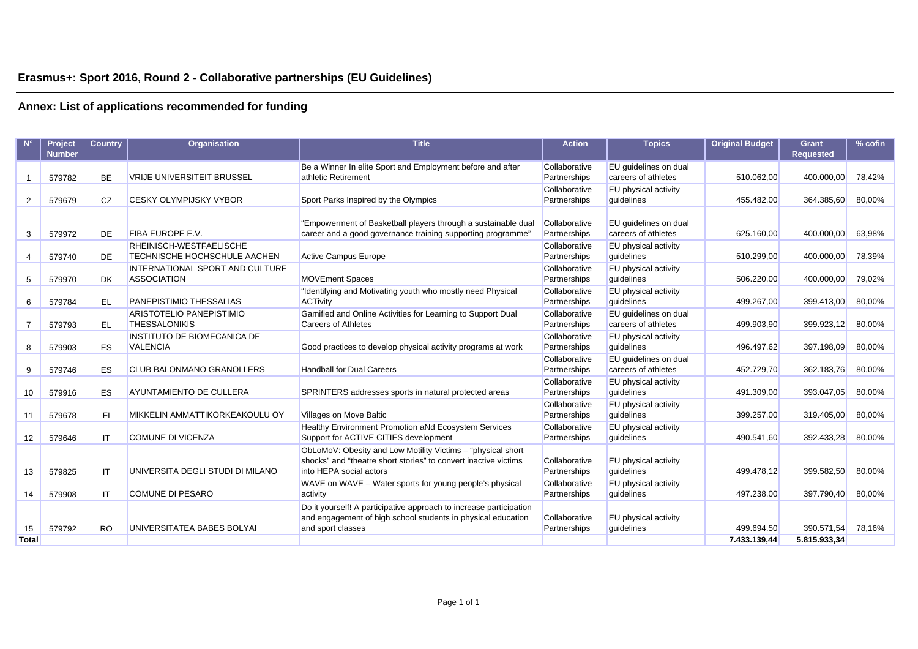## **Erasmus+: Sport 2016, Round 2 - Collaborative partnerships (EU Guidelines)**

|                    | <b>Project</b> | <b>Country</b> | <b>Organisation</b>                                          | <b>Title</b>                                                                  | <b>Action</b>                 | <b>Topics</b>                      | <b>Original Budget</b> | <b>Grant</b>     | $%$ cofin |
|--------------------|----------------|----------------|--------------------------------------------------------------|-------------------------------------------------------------------------------|-------------------------------|------------------------------------|------------------------|------------------|-----------|
|                    | <b>Number</b>  |                |                                                              |                                                                               |                               |                                    |                        | <b>Requested</b> |           |
|                    |                |                |                                                              | Be a Winner In elite Sport and Employment before and after                    | Collaborative                 | EU guidelines on dual              |                        |                  |           |
|                    | 579782         | <b>BE</b>      | <b>VRIJE UNIVERSITEIT BRUSSEL</b>                            | athletic Retirement                                                           | Partnerships                  | careers of athletes                | 510.062,00             | 400.000,00       | 78,42%    |
|                    |                |                |                                                              |                                                                               | Collaborative                 | EU physical activity               |                        |                  |           |
| 2                  | 579679         | CZ             | <b>CESKY OLYMPIJSKY VYBOR</b>                                | Sport Parks Inspired by the Olympics                                          | Partnerships                  | quidelines                         | 455.482,00             | 364.385,60       | 80,00%    |
|                    |                |                |                                                              |                                                                               |                               |                                    |                        |                  |           |
|                    |                |                |                                                              | "Empowerment of Basketball players through a sustainable dual                 | Collaborative                 | EU guidelines on dual              |                        |                  |           |
| 3                  | 579972         | DE             | <b>FIBA EUROPE E.V.</b>                                      | career and a good governance training supporting programme"                   | Partnerships                  | careers of athletes                | 625.160,00             | 400.000,00       | 63,98%    |
|                    |                |                | RHEINISCH-WESTFAELISCHE                                      |                                                                               | Collaborative                 | EU physical activity               |                        |                  |           |
| 4                  | 579740         | <b>DE</b>      | <b>TECHNISCHE HOCHSCHULE AACHEN</b>                          | <b>Active Campus Europe</b>                                                   | Partnerships                  | quidelines                         | 510.299,00             | 400.000,00       | 78,39%    |
|                    |                | <b>DK</b>      | <b>INTERNATIONAL SPORT AND CULTURE</b><br><b>ASSOCIATION</b> | <b>MOVEment Spaces</b>                                                        | Collaborative<br>Partnerships | EU physical activity<br>quidelines | 506.220,00             | 400.000,00       | 79,02%    |
| 5                  | 579970         |                |                                                              |                                                                               |                               |                                    |                        |                  |           |
| 6                  | 579784         | <b>EL</b>      | PANEPISTIMIO THESSALIAS                                      | "Identifying and Motivating youth who mostly need Physical<br><b>ACTivity</b> | Collaborative<br>Partnerships | EU physical activity<br>quidelines | 499.267,00             | 399.413,00       | 80,00%    |
|                    |                |                | ARISTOTELIO PANEPISTIMIO                                     | Gamified and Online Activities for Learning to Support Dual                   | Collaborative                 | EU quidelines on dual              |                        |                  |           |
| 7                  | 579793         | EL.            | <b>THESSALONIKIS</b>                                         | <b>Careers of Athletes</b>                                                    | Partnerships                  | careers of athletes                | 499.903,90             | 399.923,12       | 80,00%    |
|                    |                |                | <b>INSTITUTO DE BIOMECANICA DE</b>                           |                                                                               | Collaborative                 | EU physical activity               |                        |                  |           |
| 8                  | 579903         | <b>ES</b>      | <b>VALENCIA</b>                                              | Good practices to develop physical activity programs at work                  | Partnerships                  | quidelines                         | 496.497.62             | 397.198,09       | 80,00%    |
|                    |                |                |                                                              |                                                                               | Collaborative                 | EU quidelines on dual              |                        |                  |           |
| 9                  | 579746         | <b>ES</b>      | <b>CLUB BALONMANO GRANOLLERS</b>                             | <b>Handball for Dual Careers</b>                                              | Partnerships                  | careers of athletes                | 452.729,70             | 362.183,76       | 80,00%    |
|                    |                |                |                                                              |                                                                               | Collaborative                 | EU physical activity               |                        |                  |           |
| 10                 | 579916         | ES             | AYUNTAMIENTO DE CULLERA                                      | SPRINTERS addresses sports in natural protected areas                         | Partnerships                  | quidelines                         | 491.309,00             | 393.047,05       | 80,00%    |
|                    |                |                |                                                              |                                                                               | Collaborative                 | EU physical activity               |                        |                  |           |
| 11                 | 579678         | FI.            | <b>MIKKELIN AMMATTIKORKEAKOULU OY</b>                        | Villages on Move Baltic                                                       | Partnerships                  | quidelines                         | 399.257,00             | 319.405,00       | 80,00%    |
|                    |                |                |                                                              | Healthy Environment Promotion aNd Ecosystem Services                          | Collaborative                 | EU physical activity               |                        |                  |           |
| 12                 | 579646         | IT             | <b>COMUNE DI VICENZA</b>                                     | Support for ACTIVE CITIES development                                         | Partnerships                  | guidelines                         | 490.541,60             | 392.433,28       | 80,00%    |
|                    |                |                |                                                              | ObLoMoV: Obesity and Low Motility Victims - "physical short"                  |                               |                                    |                        |                  |           |
|                    |                |                |                                                              | shocks" and "theatre short stories" to convert inactive victims               | Collaborative                 | EU physical activity               |                        |                  |           |
| 13                 | 579825         | IT             | UNIVERSITA DEGLI STUDI DI MILANO                             | into HEPA social actors                                                       | Partnerships                  | quidelines                         | 499.478,12             | 399.582,50       | 80,00%    |
|                    |                |                |                                                              | WAVE on WAVE - Water sports for young people's physical                       | Collaborative                 | EU physical activity               |                        |                  |           |
| 14                 | 579908         | IT             | <b>COMUNE DI PESARO</b>                                      | activity                                                                      | Partnerships                  | quidelines                         | 497.238,00             | 397.790,40       | 80,00%    |
|                    |                |                |                                                              | Do it yourself! A participative approach to increase participation            |                               |                                    |                        |                  |           |
|                    | 579792         | <b>RO</b>      | UNIVERSITATEA BABES BOLYAI                                   | and engagement of high school students in physical education                  | Collaborative                 | EU physical activity<br>quidelines | 499.694.50             | 390.571,54       | 78,16%    |
| 15<br><b>Total</b> |                |                |                                                              | and sport classes                                                             | Partnerships                  |                                    | 7.433.139.44           | 5.815.933,34     |           |
|                    |                |                |                                                              |                                                                               |                               |                                    |                        |                  |           |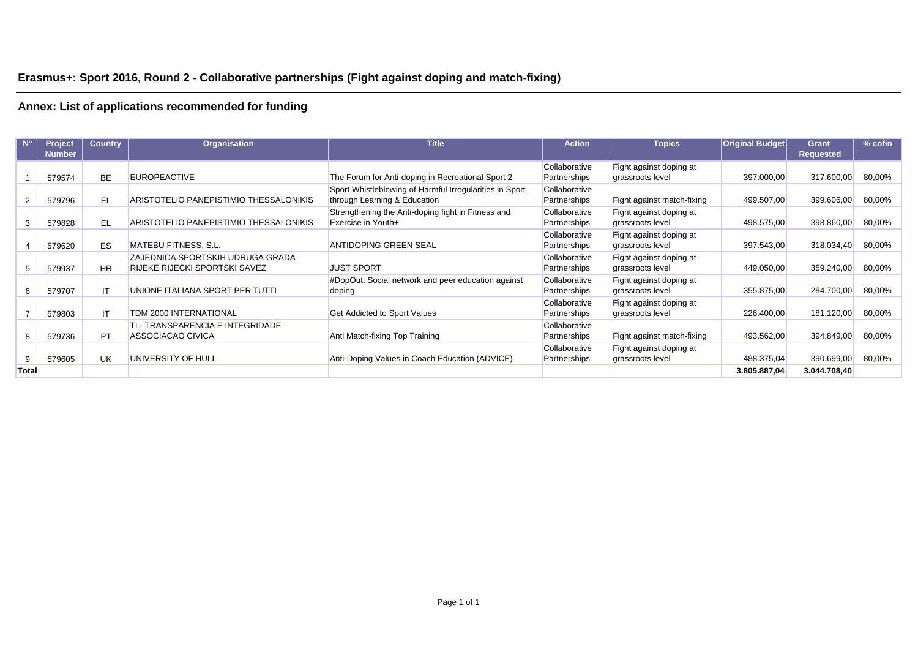## **Erasmus+: Sport 2016, Round 2 - Collaborative partnerships (Fight against doping and match-fixing)**

|              | <b>Project</b><br><b>Number</b> | <b>Country</b> | <b>Organisation</b>                                                      | <b>Title</b>                                                                            | <b>Action</b>                 | <b>Topics</b>                               | <b>Original Budget</b> | <b>Grant</b><br><b>Requested</b> | % cofin |
|--------------|---------------------------------|----------------|--------------------------------------------------------------------------|-----------------------------------------------------------------------------------------|-------------------------------|---------------------------------------------|------------------------|----------------------------------|---------|
|              | 579574                          | <b>BE</b>      | <b>EUROPEACTIVE</b>                                                      | The Forum for Anti-doping in Recreational Sport 2                                       | Collaborative<br>Partnerships | Fight against doping at<br>grassroots level | 397.000,00             | 317.600,00                       | 80,00%  |
|              | 579796                          | EL             | ARISTOTELIO PANEPISTIMIO THESSALONIKIS                                   | Sport Whistleblowing of Harmful Irregularities in Sport<br>through Learning & Education | Collaborative<br>Partnerships | Fight against match-fixing                  | 499.507,00             | 399.606,00                       | 80,00%  |
| 3            | 579828                          | <b>EL</b>      | ARISTOTELIO PANEPISTIMIO THESSALONIKIS                                   | Strengthening the Anti-doping fight in Fitness and<br>Exercise in Youth+                | Collaborative<br>Partnerships | Fight against doping at<br>grassroots level | 498.575,00             | 398.860,00                       | 80,00%  |
|              | 579620                          | <b>ES</b>      | <b>MATEBU FITNESS, S.L.</b>                                              | <b>ANTIDOPING GREEN SEAL</b>                                                            | Collaborative<br>Partnerships | Fight against doping at<br>grassroots level | 397.543,00             | 318.034,40                       | 80,00%  |
| 5            | 579937                          | <b>HR</b>      | ZAJEDNICA SPORTSKIH UDRUGA GRADA<br><b>RIJEKE RIJECKI SPORTSKI SAVEZ</b> | <b>JUST SPORT</b>                                                                       | Collaborative<br>Partnerships | Fight against doping at<br>grassroots level | 449.050,00             | 359.240,00                       | 80,00%  |
| 6            | 579707                          | IT             | UNIONE ITALIANA SPORT PER TUTTI                                          | #DopOut: Social network and peer education against<br>doping                            | Collaborative<br>Partnerships | Fight against doping at<br>grassroots level | 355.875,00             | 284.700,00                       | 80,00%  |
|              | 579803                          | IT             | TDM 2000 INTERNATIONAL                                                   | <b>Get Addicted to Sport Values</b>                                                     | Collaborative<br>Partnerships | Fight against doping at<br>grassroots level | 226.400,00             | 181.120,00                       | 80,00%  |
| 8            | 579736                          | <b>PT</b>      | TI - TRANSPARENCIA E INTEGRIDADE<br>ASSOCIACAO CIVICA                    | Anti Match-fixing Top Training                                                          | Collaborative<br>Partnerships | Fight against match-fixing                  | 493.562,00             | 394.849,00                       | 80,00%  |
| 9            | 579605                          | <b>UK</b>      | UNIVERSITY OF HULL                                                       | Anti-Doping Values in Coach Education (ADVICE)                                          | Collaborative<br>Partnerships | Fight against doping at<br>grassroots level | 488.375,04             | 390.699,00                       | 80,00%  |
| <b>Total</b> |                                 |                |                                                                          |                                                                                         |                               |                                             | 3.805.887,04           | 3.044.708,40                     |         |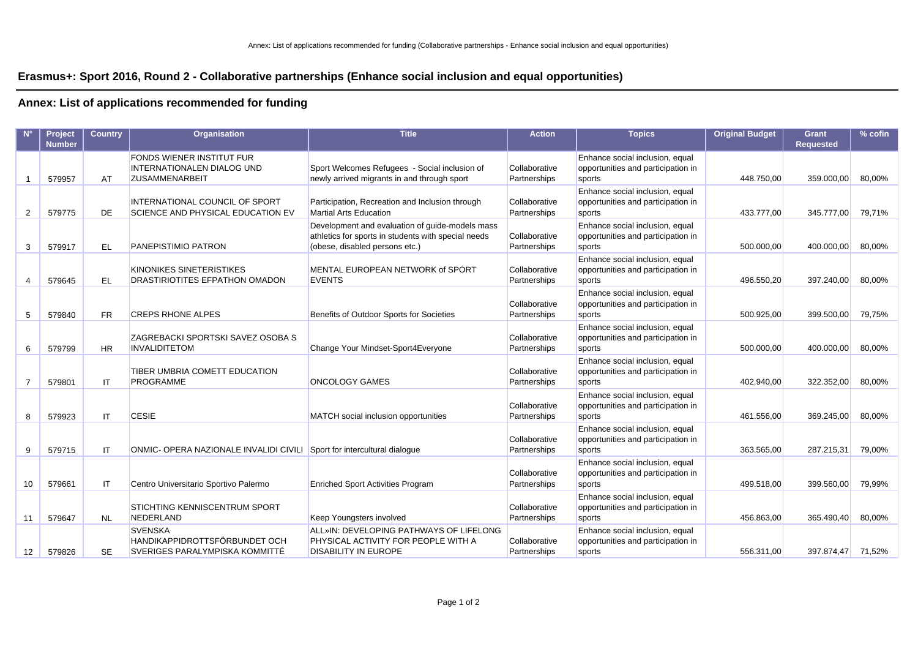### **Erasmus+: Sport 2016, Round 2 - Collaborative partnerships (Enhance social inclusion and equal opportunities)**

|    | Project<br><b>Number</b> | <b>Country</b> | <b>Organisation</b>                                                                            | <b>Title</b>                                                                                                                             | <b>Action</b>                 | <b>Topics</b>                                                                   | <b>Original Budget</b> | <b>Grant</b><br><b>Requested</b> | $%$ cofin |
|----|--------------------------|----------------|------------------------------------------------------------------------------------------------|------------------------------------------------------------------------------------------------------------------------------------------|-------------------------------|---------------------------------------------------------------------------------|------------------------|----------------------------------|-----------|
| 1  | 579957                   | AT             | <b>FONDS WIENER INSTITUT FUR</b><br><b>INTERNATIONALEN DIALOG UND</b><br><b>ZUSAMMENARBEIT</b> | Sport Welcomes Refugees - Social inclusion of<br>newly arrived migrants in and through sport                                             | Collaborative<br>Partnerships | Enhance social inclusion, equal<br>opportunities and participation in<br>sports | 448.750,00             | 359.000,00                       | 80,00%    |
| 2  | 579775                   | <b>DE</b>      | INTERNATIONAL COUNCIL OF SPORT<br>SCIENCE AND PHYSICAL EDUCATION EV                            | Participation, Recreation and Inclusion through<br><b>Martial Arts Education</b>                                                         | Collaborative<br>Partnerships | Enhance social inclusion, equal<br>opportunities and participation in<br>sports | 433.777,00             | 345.777,00                       | 79,71%    |
| 3  | 579917                   | EL             | <b>PANEPISTIMIO PATRON</b>                                                                     | Development and evaluation of guide-models mass<br>athletics for sports in students with special needs<br>(obese, disabled persons etc.) | Collaborative<br>Partnerships | Enhance social inclusion, equal<br>opportunities and participation in<br>sports | 500.000,00             | 400.000,00                       | 80,00%    |
| 4  | 579645                   | EL.            | <b>KINONIKES SINETERISTIKES</b><br><b>DRASTIRIOTITES EFPATHON OMADON</b>                       | MENTAL EUROPEAN NETWORK of SPORT<br><b>EVENTS</b>                                                                                        | Collaborative<br>Partnerships | Enhance social inclusion, equal<br>opportunities and participation in<br>sports | 496.550,20             | 397.240,00                       | 80,00%    |
| 5  | 579840                   | <b>FR</b>      | <b>CREPS RHONE ALPES</b>                                                                       | Benefits of Outdoor Sports for Societies                                                                                                 | Collaborative<br>Partnerships | Enhance social inclusion, equal<br>opportunities and participation in<br>sports | 500.925,00             | 399.500,00                       | 79,75%    |
| 6  | 579799                   | <b>HR</b>      | ZAGREBACKI SPORTSKI SAVEZ OSOBA S<br><b>INVALIDITETOM</b>                                      | Change Your Mindset-Sport4Everyone                                                                                                       | Collaborative<br>Partnerships | Enhance social inclusion, equal<br>opportunities and participation in<br>sports | 500.000,00             | 400.000,00                       | 80,00%    |
| 7  | 579801                   | IT             | TIBER UMBRIA COMETT EDUCATION<br><b>PROGRAMME</b>                                              | <b>ONCOLOGY GAMES</b>                                                                                                                    | Collaborative<br>Partnerships | Enhance social inclusion, equal<br>opportunities and participation in<br>sports | 402.940,00             | 322.352,00                       | 80,00%    |
| 8  | 579923                   | IT             | <b>CESIE</b>                                                                                   | MATCH social inclusion opportunities                                                                                                     | Collaborative<br>Partnerships | Enhance social inclusion, equal<br>opportunities and participation in<br>sports | 461.556,00             | 369.245,00                       | 80,00%    |
| 9  | 579715                   | IT             | ONMIC- OPERA NAZIONALE INVALIDI CIVILI Sport for intercultural dialogue                        |                                                                                                                                          | Collaborative<br>Partnerships | Enhance social inclusion, equal<br>opportunities and participation in<br>sports | 363.565,00             | 287.215,31                       | 79,00%    |
| 10 | 579661                   | IT             | Centro Universitario Sportivo Palermo                                                          | <b>Enriched Sport Activities Program</b>                                                                                                 | Collaborative<br>Partnerships | Enhance social inclusion, equal<br>opportunities and participation in<br>sports | 499.518,00             | 399.560,00                       | 79,99%    |
| 11 | 579647                   | <b>NL</b>      | <b>STICHTING KENNISCENTRUM SPORT</b><br>NEDERLAND                                              | Keep Youngsters involved                                                                                                                 | Collaborative<br>Partnerships | Enhance social inclusion, equal<br>opportunities and participation in<br>sports | 456.863,00             | 365.490,40                       | 80,00%    |
| 12 | 579826                   | <b>SE</b>      | <b>SVENSKA</b><br>HANDIKAPPIDROTTSFÖRBUNDET OCH<br>SVERIGES PARALYMPISKA KOMMITTÉ              | ALL»IN: DEVELOPING PATHWAYS OF LIFELONG<br>PHYSICAL ACTIVITY FOR PEOPLE WITH A<br><b>DISABILITY IN EUROPE</b>                            | Collaborative<br>Partnerships | Enhance social inclusion, equal<br>opportunities and participation in<br>sports | 556.311,00             | 397.874,47                       | 71,52%    |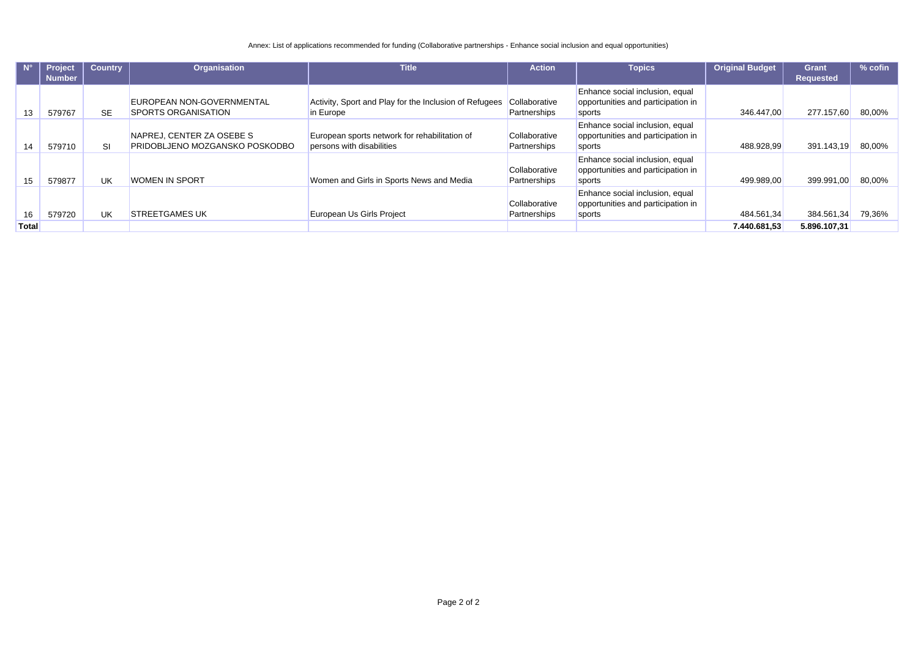Annex: List of applications recommended for funding (Collaborative partnerships - Enhance social inclusion and equal opportunities)

| $N^{\circ}$  | <b>Project</b> | <b>Country</b> | Organisation                                                | <b>Title</b>                                                               | <b>Action</b>                        | <b>Topics</b>                                                                   | <b>Original Budget</b> | <b>Grant</b>     | $%$ cofin |
|--------------|----------------|----------------|-------------------------------------------------------------|----------------------------------------------------------------------------|--------------------------------------|---------------------------------------------------------------------------------|------------------------|------------------|-----------|
|              | <b>Number</b>  |                |                                                             |                                                                            |                                      |                                                                                 |                        | <b>Requested</b> |           |
| 13           | 579767         | <b>SE</b>      | EUROPEAN NON-GOVERNMENTAL<br><b>SPORTS ORGANISATION</b>     | Activity, Sport and Play for the Inclusion of Refugees<br>in Europe        | Collaborative<br>Partnerships        | Enhance social inclusion, equal<br>opportunities and participation in<br>sports | 346.447,00             | 277.157,60       | 80,00%    |
| 14           | 579710         | <b>SI</b>      | NAPREJ, CENTER ZA OSEBE S<br>PRIDOBLJENO MOZGANSKO POSKODBO | European sports network for rehabilitation of<br>persons with disabilities | Collaborative<br><b>Partnerships</b> | Enhance social inclusion, equal<br>opportunities and participation in<br>sports | 488.928,99             | 391.143,19       | 80,00%    |
| 15           | 579877         | UK             | <b>WOMEN IN SPORT</b>                                       | Women and Girls in Sports News and Media                                   | Collaborative<br>Partnerships        | Enhance social inclusion, equal<br>opportunities and participation in<br>sports | 499.989,00             | 399.991,00       | 80,00%    |
| 16           | 579720         | UK             | <b>STREETGAMES UK</b>                                       | European Us Girls Project                                                  | Collaborative<br>Partnerships        | Enhance social inclusion, equal<br>opportunities and participation in<br>sports | 484.561,34             | 384.561,34       | 79,36%    |
| <b>Total</b> |                |                |                                                             |                                                                            |                                      |                                                                                 | 7.440.681.53           | 5.896.107,31     |           |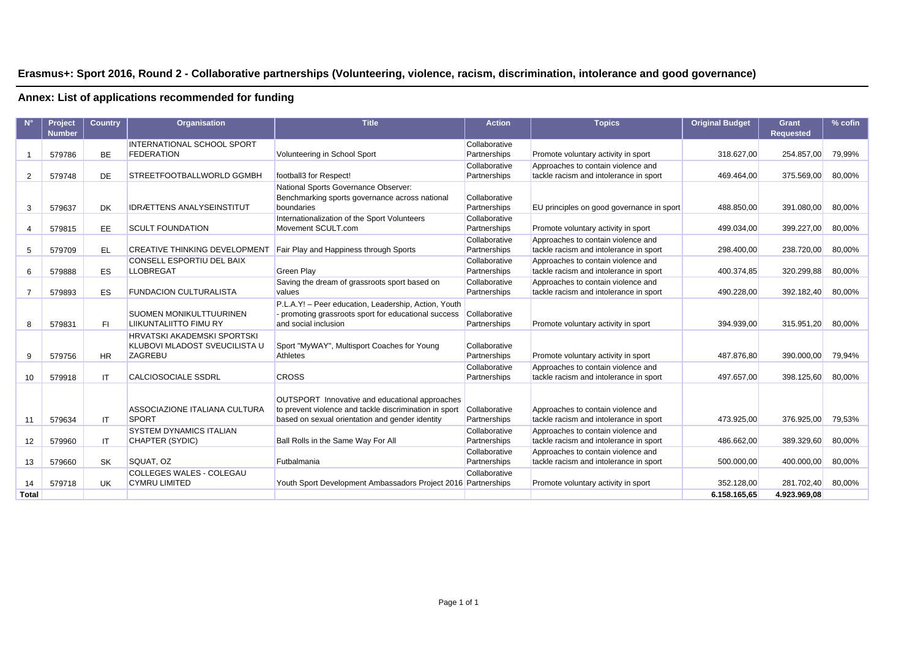### **Erasmus+: Sport 2016, Round 2 - Collaborative partnerships (Volunteering, violence, racism, discrimination, intolerance and good governance)**

|                | Project       | <b>Country</b> | Organisation                         | <b>Title</b>                                           | <b>Action</b> | <b>Topics</b>                             | <b>Original Budget</b> | Grant            | % cofin |
|----------------|---------------|----------------|--------------------------------------|--------------------------------------------------------|---------------|-------------------------------------------|------------------------|------------------|---------|
|                | <b>Number</b> |                |                                      |                                                        |               |                                           |                        | <b>Requested</b> |         |
|                |               |                | <b>INTERNATIONAL SCHOOL SPORT</b>    |                                                        | Collaborative |                                           |                        |                  |         |
|                | 579786        | <b>BE</b>      | <b>FEDERATION</b>                    | Volunteering in School Sport                           | Partnerships  | Promote voluntary activity in sport       | 318.627,00             | 254.857,00       | 79,99%  |
|                |               |                |                                      |                                                        | Collaborative | Approaches to contain violence and        |                        |                  |         |
| 2              | 579748        | DE             | STREETFOOTBALLWORLD GGMBH            | football3 for Respect!                                 | Partnerships  | tackle racism and intolerance in sport    | 469.464.00             | 375.569,00       | 80,00%  |
|                |               |                |                                      | National Sports Governance Observer:                   |               |                                           |                        |                  |         |
|                |               |                |                                      | Benchmarking sports governance across national         | Collaborative |                                           |                        |                  |         |
| 3              | 579637        | <b>DK</b>      | <b>IDRÆTTENS ANALYSEINSTITUT</b>     | boundaries                                             | Partnerships  | EU principles on good governance in sport | 488.850,00             | 391.080,00       | 80,00%  |
|                |               |                |                                      | Internationalization of the Sport Volunteers           | Collaborative |                                           |                        |                  |         |
| 4              | 579815        | EE.            | <b>SCULT FOUNDATION</b>              | Movement SCULT.com                                     | Partnerships  | Promote voluntary activity in sport       | 499.034,00             | 399.227,00       | 80,00%  |
|                |               |                |                                      |                                                        | Collaborative | Approaches to contain violence and        |                        |                  |         |
| 5              | 579709        | EL             | <b>CREATIVE THINKING DEVELOPMENT</b> | Fair Play and Happiness through Sports                 | Partnerships  | tackle racism and intolerance in sport    | 298.400,00             | 238.720,00       | 80,00%  |
|                |               |                | CONSELL ESPORTIU DEL BAIX            |                                                        | Collaborative | Approaches to contain violence and        |                        |                  |         |
| 6              | 579888        | ES             | <b>LLOBREGAT</b>                     | <b>Green Play</b>                                      | Partnerships  | tackle racism and intolerance in sport    | 400.374,85             | 320.299,88       | 80,00%  |
|                |               |                |                                      | Saving the dream of grassroots sport based on          | Collaborative | Approaches to contain violence and        |                        |                  |         |
| $\overline{7}$ | 579893        | <b>ES</b>      | <b>FUNDACION CULTURALISTA</b>        | values                                                 | Partnerships  | tackle racism and intolerance in sport    | 490.228,00             | 392.182,40       | 80,00%  |
|                |               |                |                                      | P.L.A.Y! - Peer education, Leadership, Action, Youth   |               |                                           |                        |                  |         |
|                |               |                | <b>SUOMEN MONIKULTTUURINEN</b>       | - promoting grassroots sport for educational success   | Collaborative |                                           |                        |                  |         |
| 8              | 579831        | FL.            | <b>LIIKUNTALIITTO FIMU RY</b>        | and social inclusion                                   | Partnerships  | Promote voluntary activity in sport       | 394.939.00             | 315.951,20       | 80,00%  |
|                |               |                | <b>HRVATSKI AKADEMSKI SPORTSKI</b>   |                                                        |               |                                           |                        |                  |         |
|                |               |                | KLUBOVI MLADOST SVEUCILISTA U        | Sport "MyWAY", Multisport Coaches for Young            | Collaborative |                                           |                        |                  |         |
| 9              | 579756        | <b>HR</b>      | <b>ZAGREBU</b>                       | Athletes                                               | Partnerships  | Promote voluntary activity in sport       | 487.876,80             | 390.000,00       | 79,94%  |
|                |               |                |                                      |                                                        | Collaborative | Approaches to contain violence and        |                        |                  |         |
| 10             | 579918        | IT             | <b>CALCIOSOCIALE SSDRL</b>           | <b>CROSS</b>                                           | Partnerships  | tackle racism and intolerance in sport    | 497.657,00             | 398.125,60       | 80,00%  |
|                |               |                |                                      |                                                        |               |                                           |                        |                  |         |
|                |               |                |                                      | OUTSPORT Innovative and educational approaches         |               |                                           |                        |                  |         |
|                |               |                | ASSOCIAZIONE ITALIANA CULTURA        | to prevent violence and tackle discrimination in sport | Collaborative | Approaches to contain violence and        |                        |                  |         |
| 11             | 579634        | IT             | SPORT                                | based on sexual orientation and gender identity        | Partnerships  | tackle racism and intolerance in sport    | 473.925.00             | 376.925,00       | 79,53%  |
|                |               |                | <b>SYSTEM DYNAMICS ITALIAN</b>       |                                                        | Collaborative | Approaches to contain violence and        |                        |                  |         |
| 12             | 579960        | ΙT             | CHAPTER (SYDIC)                      | Ball Rolls in the Same Way For All                     | Partnerships  | tackle racism and intolerance in sport    | 486.662,00             | 389.329,60       | 80,00%  |
|                |               |                |                                      |                                                        | Collaborative | Approaches to contain violence and        |                        |                  |         |
| 13             | 579660        | <b>SK</b>      | SQUAT, OZ                            | Futbalmania                                            | Partnerships  | tackle racism and intolerance in sport    | 500.000,00             | 400.000,00       | 80,00%  |
|                |               |                | <b>COLLEGES WALES - COLEGAU</b>      |                                                        | Collaborative |                                           |                        |                  |         |
| 14             | 579718        | <b>UK</b>      | <b>CYMRU LIMITED</b>                 | Youth Sport Development Ambassadors Project 2016       | Partnerships  | Promote voluntary activity in sport       | 352.128,00             | 281.702,40       | 80,00%  |
| <b>Total</b>   |               |                |                                      |                                                        |               |                                           | 6.158.165.65           | 4.923.969.08     |         |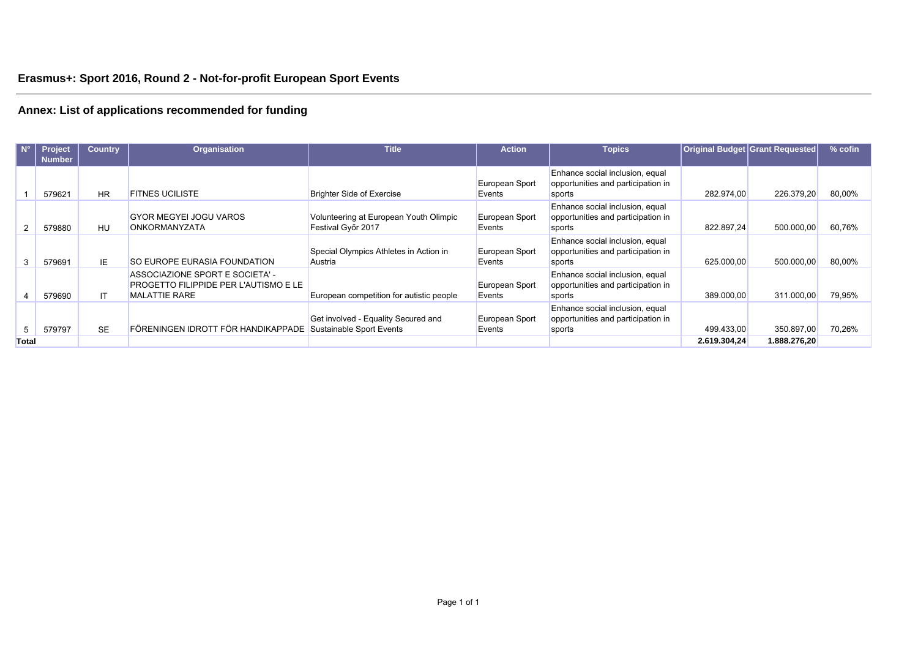| $N^{\circ}$    | Project<br><b>Number</b> | <b>Country</b> | <b>Organisation</b>                                                                                     | <b>Title</b>                                                 | <b>Action</b>            | <b>Topics</b>                                                                   |              | Original Budget Grant Requested | $%$ cofin |
|----------------|--------------------------|----------------|---------------------------------------------------------------------------------------------------------|--------------------------------------------------------------|--------------------------|---------------------------------------------------------------------------------|--------------|---------------------------------|-----------|
|                | 579621                   | <b>HR</b>      | <b>FITNES UCILISTE</b>                                                                                  | <b>Brighter Side of Exercise</b>                             | European Sport<br>Events | Enhance social inclusion, equal<br>opportunities and participation in<br>sports | 282.974,00   | 226.379,20                      | 80,00%    |
| $\overline{2}$ | 579880                   | HU             | <b>GYOR MEGYEL JOGU VAROS</b><br>ONKORMANYZATA                                                          | Volunteering at European Youth Olimpic<br>Festival Győr 2017 | European Sport<br>Events | Enhance social inclusion, equal<br>opportunities and participation in<br>sports | 822.897.24   | 500.000,00                      | 60,76%    |
| 3              | 579691                   | IE.            | <b>SO EUROPE EURASIA FOUNDATION</b>                                                                     | Special Olympics Athletes in Action in<br>Austria            | European Sport<br>Events | Enhance social inclusion, equal<br>opportunities and participation in<br>sports | 625.000.00   | 500.000,00                      | 80,00%    |
|                | 579690                   | IT.            | ASSOCIAZIONE SPORT E SOCIETA' -<br><b>PROGETTO FILIPPIDE PER L'AUTISMO E LE</b><br><b>MALATTIE RARE</b> | European competition for autistic people                     | European Sport<br>Events | Enhance social inclusion, equal<br>opportunities and participation in<br>sports | 389.000,00   | 311.000,00                      | 79,95%    |
| 5              | 579797                   | <b>SE</b>      | FÖRENINGEN IDROTT FÖR HANDIKAPPADE Sustainable Sport Events                                             | Get involved - Equality Secured and                          | European Sport<br>Events | Enhance social inclusion, equal<br>opportunities and participation in<br>sports | 499.433,00   | 350.897,00                      | 70,26%    |
| <b>Total</b>   |                          |                |                                                                                                         |                                                              |                          |                                                                                 | 2.619.304.24 | 1.888.276,20                    |           |